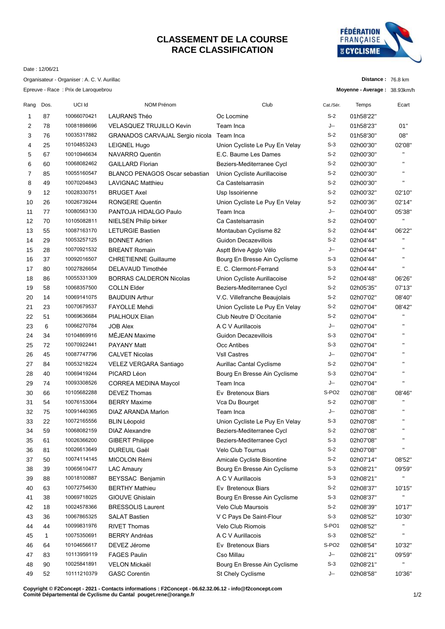## **CLASSEMENT DE LA COURSE RACE CLASSIFICATION**



**Distance :** 76.8 km **Moyenne - Average :** 38.93km/h

Date : 12/06/21

Organisateur - Organiser : A. C. V. Aurillac

Epreuve - Race : Prix de Laroquebrou

| Rang | Dos. | UCI Id      | <b>NOM Prénom</b>                     | Club                           | Cat./Sér.         | Temps     | Ecart                 |
|------|------|-------------|---------------------------------------|--------------------------------|-------------------|-----------|-----------------------|
| 1    | 87   | 10066070421 | <b>LAURANS Théo</b>                   | Oc Locmine                     | $S-2$             | 01h58'22" |                       |
| 2    | 78   | 10081898696 | <b>VELASQUEZ TRUJILLO Kevin</b>       | Team Inca                      | J--               | 01h58'23" | 01"                   |
| 3    | 76   | 10035317882 | GRANADOS CARVAJAL Sergio nicola       | Team Inca                      | $S-2$             | 01h58'30" | 08"                   |
| 4    | 25   | 10104853243 | <b>LEIGNEL Hugo</b>                   | Union Cycliste Le Puy En Velay | $S-3$             | 02h00'30" | 02'08"                |
| 5    | 67   | 10010946634 | <b>NAVARRO Quentin</b>                | E.C. Baume Les Dames           | $S-2$             | 02h00'30" | $\mathbf{H}$          |
| 6    | 60   | 10068082462 | <b>GAILLARD Florian</b>               | Beziers-Mediterranee Cycl      | $S-2$             | 02h00'30" | $\mathbf{H}$          |
| 7    | 85   | 10055160547 | <b>BLANCO PENAGOS Oscar sebastian</b> | Union Cycliste Aurillacoise    | $S-2$             | 02h00'30" | $\mathbf{H}$          |
| 8    | 49   | 10070204843 | <b>LAVIGNAC Matthieu</b>              | Ca Castelsarrasin              | $S-2$             | 02h00'30" | $\mathbf{H}$          |
| 9    | 12   | 10028330751 | <b>BRUGET Axel</b>                    | Usp Issoirienne                | $S-2$             | 02h00'32" | 02'10"                |
| 10   | 26   | 10026739244 | <b>RONGERE Quentin</b>                | Union Cycliste Le Puy En Velay | $S-2$             | 02h00'36" | 02'14"                |
| 11   | 77   | 10080563130 | PANTOJA HIDALGO Paulo                 | Team Inca                      | J--               | 02h04'00" | 05'38"                |
| 12   | 70   | 10105082811 | NIELSEN Philip birker                 | Ca Castelsarrasin              | $S-2$             | 02h04'00" | $\mathbf{H}$          |
| 13   | 55   | 10087163170 | <b>LETURGIE Bastien</b>               | Montauban Cyclisme 82          | $S-2$             | 02h04'44" | 06'22"                |
| 14   | 29   | 10053257125 | <b>BONNET Adrien</b>                  | Guidon Decazevillois           | $S-2$             | 02h04'44" | $\mathbf{H}$          |
| 15   | 28   | 10070921532 | <b>BREANT Romain</b>                  | Asptt Brive Agglo Vélo         | J--               | 02h04'44" | $\mathbf{H}$          |
| 16   | 37   | 10092016507 | <b>CHRETIENNE Guillaume</b>           | Bourg En Bresse Ain Cyclisme   | $S-3$             | 02h04'44" | $\mathbf{H}$          |
| 17   | 80   | 10027826654 | DELAVAUD Timothée                     | E. C. Clermont-Ferrand         | $S-3$             | 02h04'44" | $\mathbf{H}$          |
| 18   | 86   | 10055331309 | <b>BORRAS CALDERON Nicolas</b>        | Union Cycliste Aurillacoise    | $S-2$             | 02h04'48" | 06'26"                |
|      | 58   | 10068357500 | <b>COLLN Elder</b>                    |                                | $S-2$             |           | 07'13"                |
| 19   |      | 10069141075 | <b>BAUDUIN Arthur</b>                 | Beziers-Mediterranee Cycl      | $S-2$             | 02h05'35" |                       |
| 20   | 14   | 10070679537 |                                       | V.C. Villefranche Beaujolais   | $S-2$             | 02h07'02" | 08'40"                |
| 21   | 23   |             | <b>FAYOLLE Mehdi</b>                  | Union Cycliste Le Puy En Velay | $S-2$             | 02h07'04" | 08'42"<br>$\mathbf H$ |
| 22   | 51   | 10069636684 | PIALHOUX Elian                        | Club Neutre D'Occitanie        |                   | 02h07'04" | $\mathbf{H}$          |
| 23   | 6    | 10066270784 | <b>JOB Alex</b>                       | A C V Aurillacois              | J--               | 02h07'04" | $\mathbf{H}$          |
| 24   | 34   | 10104869916 | MÉJEAN Maxime                         | Guidon Decazevillois           | $S-3$             | 02h07'04" | $\mathbf{H}$          |
| 25   | 72   | 10070922441 | <b>PAYANY Matt</b>                    | Occ Antibes                    | $S-3$             | 02h07'04" | $\mathbf{H}$          |
| 26   | 45   | 10087747796 | <b>CALVET Nicolas</b>                 | <b>VsII Castres</b>            | J--               | 02h07'04" |                       |
| 27   | 84   | 10053218224 | VELEZ VERGARA Santiago                | Aurillac Cantal Cyclisme       | $S-2$             | 02h07'04" | $\mathbf{H}$          |
| 28   | 40   | 10069419244 | PICARD Léon                           | Bourg En Bresse Ain Cyclisme   | $S-3$             | 02h07'04" | $\mathbf{H}$          |
| 29   | 74   | 10093308526 | <b>CORREA MEDINA Maycol</b>           | Team Inca                      | J--               | 02h07'04" | $\mathbf{H}$          |
| 30   | 66   | 10105682288 | <b>DEVEZ Thomas</b>                   | Ev Bretenoux Biars             | S-PO <sub>2</sub> | 02h07'08" | 08'46"                |
| 31   | 54   | 10076153064 | <b>BERRY Maxime</b>                   | Vca Du Bourget                 | $S-2$             | 02h07'08" | $\mathbf{H}$          |
| 32   | 75   | 10091440365 | DIAZ ARANDA Marlon                    | Team Inca                      | J--               | 02h07'08" | $\mathbf{H}$          |
| 33   | 22   | 10072165556 | <b>BLIN Léopold</b>                   | Union Cycliste Le Puy En Velay | $S-3$             | 02h07'08" | $\mathbf{H}$          |
| 34   | 59   | 10068082159 | <b>DIAZ Alexandre</b>                 | Beziers-Mediterranee Cycl      | $S-2$             | 02h07'08" |                       |
| 35   | 61   | 10026366200 | <b>GIBERT Philippe</b>                | Beziers-Mediterranee Cycl      | $S-3$             | 02h07'08" | $\blacksquare$        |
| 36   | 81   | 10026613649 | DUREUIL Gaël                          | Velo Club Tournus              | $S-2$             | 02h07'08" | $\mathbf{H}$          |
| 37   | 50   | 10074114145 | MICOLON Rémi                          | Amicale Cycliste Bisontine     | $S-2$             | 02h07'14" | 08'52"                |
| 38   | 39   | 10065610477 | <b>LAC Amaury</b>                     | Bourg En Bresse Ain Cyclisme   | $S-3$             | 02h08'21" | 09'59"                |
| 39   | 88   | 10018100887 | BEYSSAC Benjamin                      | A C V Aurillacois              | $S-3$             | 02h08'21" | Π.                    |
| 40   | 63   | 10072754630 | <b>BERTHY Mathieu</b>                 | Ev Bretenoux Biars             | $S-2$             | 02h08'37" | 10'15"                |
| 41   | 38   | 10069718025 | <b>GIOUVE Ghislain</b>                | Bourg En Bresse Ain Cyclisme   | $S-3$             | 02h08'37" | $\mathbf{H}$          |
| 42   | 18   | 10024578366 | <b>BRESSOLIS Laurent</b>              | Velo Club Maursois             | $S-2$             | 02h08'39" | 10'17"                |
| 43   | 36   | 10067865325 | <b>SALAT Bastien</b>                  | V C Pays De Saint-Flour        | $S-3$             | 02h08'52" | 10'30"                |
| 44   | 44   | 10099831976 | <b>RIVET Thomas</b>                   | Velo Club Riomois              | S-PO1             | 02h08'52" | $\mathbf{H}$          |
| 45   | 1    | 10075350691 | <b>BERRY Andréas</b>                  | A C V Aurillacois              | $S-3$             | 02h08'52" | $\pmb{\mathsf{H}}$    |
| 46   | 64   | 10104656617 | DEVEZ Jérome                          | Ev Bretenoux Biars             | S-PO <sub>2</sub> | 02h08'54" | 10'32"                |
| 47   | 83   | 10113959119 | <b>FAGES Paulin</b>                   | Cso Millau                     | J--               | 02h08'21" | 09'59"                |
| 48   | 90   | 10025841891 | VELON Mickaël                         | Bourg En Bresse Ain Cyclisme   | $S-3$             | 02h08'21" |                       |
| 49   | 52   | 10111210379 | <b>GASC Corentin</b>                  | St Chely Cyclisme              | J--               | 02h08'58" | 10'36"                |
|      |      |             |                                       |                                |                   |           |                       |

**Copyright © F2Concept - 2021 - Contacts informations : F2Concept - 06.62.32.06.12 - info@f2concept.com Comité Départemental de Cyclisme du Cantal pouget.rene@orange.fr**